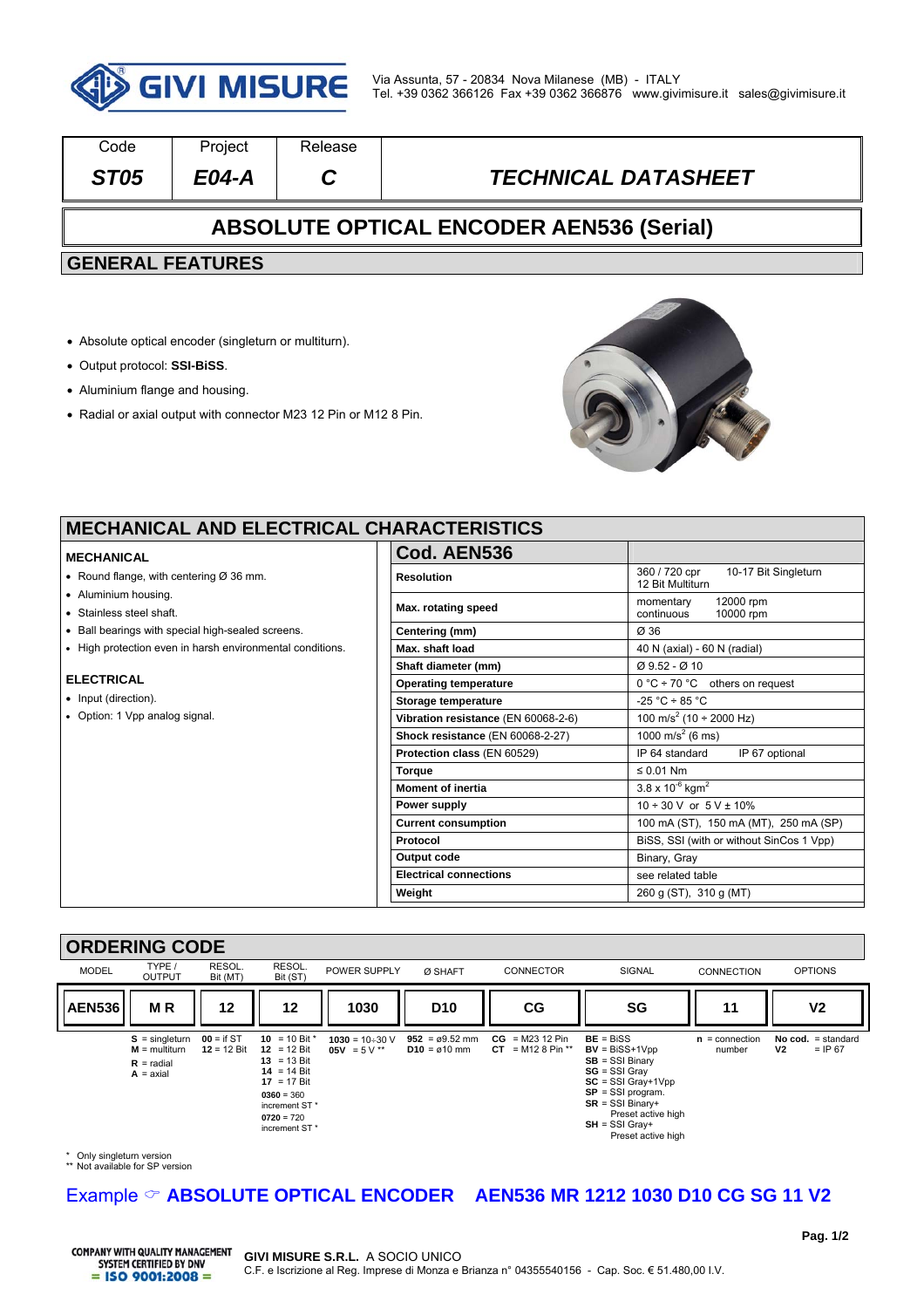

| Code                                            | Project | <b>Release</b> |                            |  |  |  |
|-------------------------------------------------|---------|----------------|----------------------------|--|--|--|
| ST <sub>05</sub>                                | $E04-A$ |                | <b>TECHNICAL DATASHEET</b> |  |  |  |
| <b>ABSOLUTE OPTICAL ENCODER AEN536 (Serial)</b> |         |                |                            |  |  |  |
| <b>GENERAL FEATURES</b>                         |         |                |                            |  |  |  |
|                                                 |         |                |                            |  |  |  |

- Absolute optical encoder (singleturn or multiturn).
- Output protocol: **SSI-BiSS**.
- Aluminium flange and housing.
- Radial or axial output with connector M23 12 Pin or M12 8 Pin.



 $\overline{\mathbf{1}}$ 

## **MECHANICAL AND ELECTRICAL CI**

#### **MECHANICAL**

- Round flange, with centering  $Ø$  36 mm.
- Aluminium housing.
- Stainless steel shaft.
- Ball bearings with special high-sealed screens.
- High protection even in harsh environmental conditions.

#### **ELECTRICAL**

- Input (direction).
- Option: 1 Vpp analog signal.

| HARACTERISTICS                      |                                                           |  |  |  |
|-------------------------------------|-----------------------------------------------------------|--|--|--|
| Cod. AEN536                         |                                                           |  |  |  |
| <b>Resolution</b>                   | 360 / 720 cpr<br>10-17 Bit Singleturn<br>12 Bit Multiturn |  |  |  |
| Max. rotating speed                 | momentary<br>12000 rpm<br>continuous<br>10000 rpm         |  |  |  |
| Centering (mm)                      | Ø 36                                                      |  |  |  |
| Max. shaft load                     | 40 N (axial) - 60 N (radial)                              |  |  |  |
| Shaft diameter (mm)                 | $Q$ 9.52 - $Q$ 10                                         |  |  |  |
| <b>Operating temperature</b>        | $0^{\circ}$ C ÷ 70 °C others on request                   |  |  |  |
| Storage temperature                 | $-25 °C \div 85 °C$                                       |  |  |  |
| Vibration resistance (EN 60068-2-6) | 100 m/s <sup>2</sup> (10 ÷ 2000 Hz)                       |  |  |  |
| Shock resistance (EN 60068-2-27)    | 1000 m/s <sup>2</sup> (6 ms)                              |  |  |  |
| Protection class (EN 60529)         | IP 64 standard<br>IP 67 optional                          |  |  |  |
| <b>Torque</b>                       | $\leq 0.01$ Nm                                            |  |  |  |
| <b>Moment of inertia</b>            | $3.8 \times 10^{-6}$ kgm <sup>2</sup>                     |  |  |  |
| Power supply                        | $10 \div 30$ V or $5$ V $\pm$ 10%                         |  |  |  |
| <b>Current consumption</b>          | 100 mA (ST), 150 mA (MT), 250 mA (SP)                     |  |  |  |
| Protocol                            | BiSS, SSI (with or without SinCos 1 Vpp)                  |  |  |  |
| Output code                         | Binary, Gray                                              |  |  |  |
| <b>Electrical connections</b>       | see related table                                         |  |  |  |
| Weight                              | 260 g (ST), 310 g (MT)                                    |  |  |  |

### **ORDERING CODE**



\* Only singleturn version \*\* Not available for SP version

## Example  $\degree$  **ABSOLUTE OPTICAL ENCODER** AEN536 MR 1212 1030 D10 CG SG 11 V2